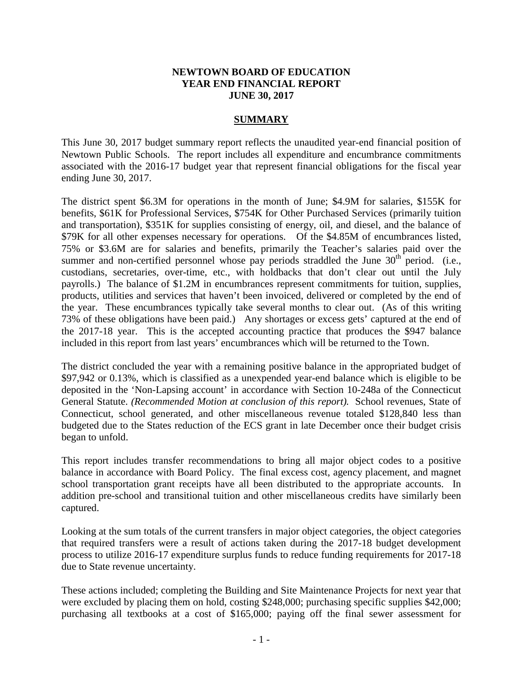#### **NEWTOWN BOARD OF EDUCATION YEAR END FINANCIAL REPORT JUNE 30, 2017**

#### **SUMMARY**

This June 30, 2017 budget summary report reflects the unaudited year-end financial position of Newtown Public Schools. The report includes all expenditure and encumbrance commitments associated with the 2016-17 budget year that represent financial obligations for the fiscal year ending June 30, 2017.

The district spent \$6.3M for operations in the month of June; \$4.9M for salaries, \$155K for benefits, \$61K for Professional Services, \$754K for Other Purchased Services (primarily tuition and transportation), \$351K for supplies consisting of energy, oil, and diesel, and the balance of \$79K for all other expenses necessary for operations. Of the \$4.85M of encumbrances listed, 75% or \$3.6M are for salaries and benefits, primarily the Teacher's salaries paid over the summer and non-certified personnel whose pay periods straddled the June  $30<sup>th</sup>$  period. (i.e., custodians, secretaries, over-time, etc., with holdbacks that don't clear out until the July payrolls.) The balance of \$1.2M in encumbrances represent commitments for tuition, supplies, products, utilities and services that haven't been invoiced, delivered or completed by the end of the year. These encumbrances typically take several months to clear out. (As of this writing 73% of these obligations have been paid.) Any shortages or excess gets' captured at the end of the 2017-18 year. This is the accepted accounting practice that produces the \$947 balance included in this report from last years' encumbrances which will be returned to the Town.

The district concluded the year with a remaining positive balance in the appropriated budget of \$97,942 or 0.13%, which is classified as a unexpended year-end balance which is eligible to be deposited in the 'Non-Lapsing account' in accordance with Section 10-248a of the Connecticut General Statute. *(Recommended Motion at conclusion of this report).* School revenues, State of Connecticut, school generated, and other miscellaneous revenue totaled \$128,840 less than budgeted due to the States reduction of the ECS grant in late December once their budget crisis began to unfold.

This report includes transfer recommendations to bring all major object codes to a positive balance in accordance with Board Policy. The final excess cost, agency placement, and magnet school transportation grant receipts have all been distributed to the appropriate accounts. In addition pre-school and transitional tuition and other miscellaneous credits have similarly been captured.

Looking at the sum totals of the current transfers in major object categories, the object categories that required transfers were a result of actions taken during the 2017-18 budget development process to utilize 2016-17 expenditure surplus funds to reduce funding requirements for 2017-18 due to State revenue uncertainty.

These actions included; completing the Building and Site Maintenance Projects for next year that were excluded by placing them on hold, costing \$248,000; purchasing specific supplies \$42,000; purchasing all textbooks at a cost of \$165,000; paying off the final sewer assessment for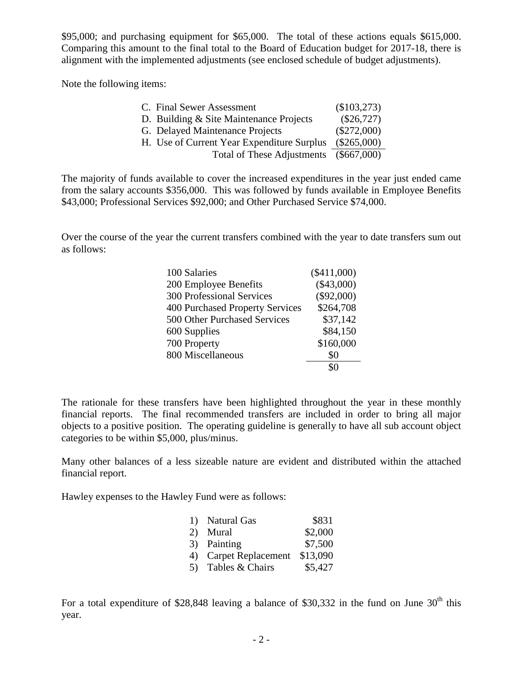\$95,000; and purchasing equipment for \$65,000. The total of these actions equals \$615,000. Comparing this amount to the final total to the Board of Education budget for 2017-18, there is alignment with the implemented adjustments (see enclosed schedule of budget adjustments).

Note the following items:

| C. Final Sewer Assessment                  | (\$103,273)   |
|--------------------------------------------|---------------|
| D. Building & Site Maintenance Projects    | $(\$26,727)$  |
| G. Delayed Maintenance Projects            | $(\$272,000)$ |
| H. Use of Current Year Expenditure Surplus | $(\$265,000)$ |
| <b>Total of These Adjustments</b>          | $(\$667,000)$ |

The majority of funds available to cover the increased expenditures in the year just ended came from the salary accounts \$356,000. This was followed by funds available in Employee Benefits \$43,000; Professional Services \$92,000; and Other Purchased Service \$74,000.

Over the course of the year the current transfers combined with the year to date transfers sum out as follows:

| 100 Salaries                     | $(\$411,000)$ |
|----------------------------------|---------------|
| 200 Employee Benefits            | $(\$43,000)$  |
| <b>300 Professional Services</b> | $(\$92,000)$  |
| 400 Purchased Property Services  | \$264,708     |
| 500 Other Purchased Services     | \$37,142      |
| 600 Supplies                     | \$84,150      |
| 700 Property                     | \$160,000     |
| 800 Miscellaneous                | \$0           |
|                                  |               |

The rationale for these transfers have been highlighted throughout the year in these monthly financial reports. The final recommended transfers are included in order to bring all major objects to a positive position. The operating guideline is generally to have all sub account object categories to be within \$5,000, plus/minus.

Many other balances of a less sizeable nature are evident and distributed within the attached financial report.

Hawley expenses to the Hawley Fund were as follows:

|    | 1) Natural Gas            | \$831    |
|----|---------------------------|----------|
|    | 2) Mural                  | \$2,000  |
|    | 3) Painting               | \$7,500  |
| 4) | <b>Carpet Replacement</b> | \$13,090 |
|    | 5) Tables & Chairs        | \$5,427  |

For a total expenditure of \$28,848 leaving a balance of \$30,332 in the fund on June  $30<sup>th</sup>$  this year.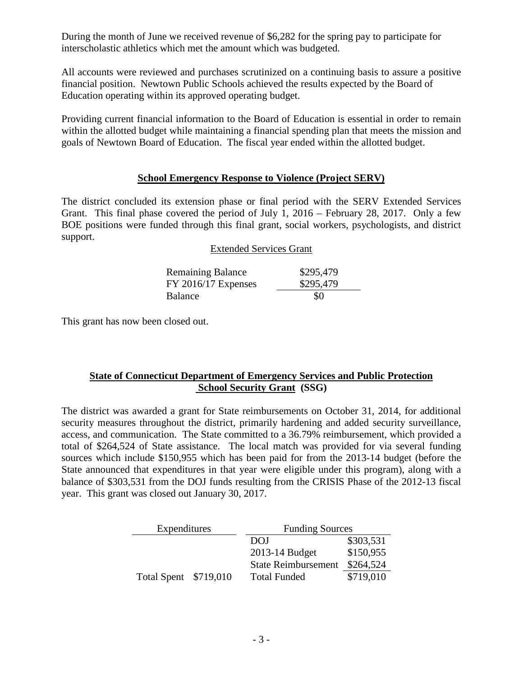During the month of June we received revenue of \$6,282 for the spring pay to participate for interscholastic athletics which met the amount which was budgeted.

All accounts were reviewed and purchases scrutinized on a continuing basis to assure a positive financial position. Newtown Public Schools achieved the results expected by the Board of Education operating within its approved operating budget.

Providing current financial information to the Board of Education is essential in order to remain within the allotted budget while maintaining a financial spending plan that meets the mission and goals of Newtown Board of Education. The fiscal year ended within the allotted budget.

### **School Emergency Response to Violence (Project SERV)**

The district concluded its extension phase or final period with the SERV Extended Services Grant. This final phase covered the period of July 1, 2016 – February 28, 2017. Only a few BOE positions were funded through this final grant, social workers, psychologists, and district support.

#### Extended Services Grant

| <b>Remaining Balance</b> | \$295,479 |
|--------------------------|-----------|
| $FY$ 2016/17 Expenses    | \$295,479 |
| <b>Balance</b>           | \$0       |

This grant has now been closed out.

## **State of Connecticut Department of Emergency Services and Public Protection School Security Grant (SSG)**

The district was awarded a grant for State reimbursements on October 31, 2014, for additional security measures throughout the district, primarily hardening and added security surveillance, access, and communication. The State committed to a 36.79% reimbursement, which provided a total of \$264,524 of State assistance. The local match was provided for via several funding sources which include \$150,955 which has been paid for from the 2013-14 budget (before the State announced that expenditures in that year were eligible under this program), along with a balance of \$303,531 from the DOJ funds resulting from the CRISIS Phase of the 2012-13 fiscal year. This grant was closed out January 30, 2017.

| Expenditures          | <b>Funding Sources</b>     |           |
|-----------------------|----------------------------|-----------|
|                       | DOJ                        | \$303,531 |
|                       | 2013-14 Budget             | \$150,955 |
|                       | <b>State Reimbursement</b> | \$264,524 |
| Total Spent \$719,010 | <b>Total Funded</b>        | \$719,010 |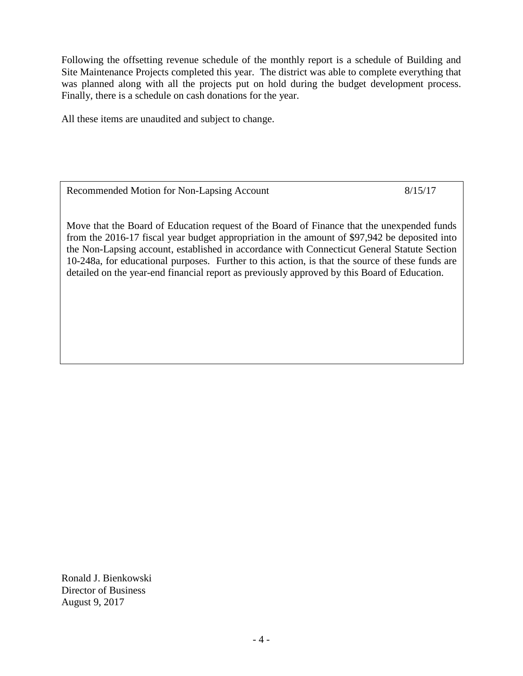Following the offsetting revenue schedule of the monthly report is a schedule of Building and Site Maintenance Projects completed this year. The district was able to complete everything that was planned along with all the projects put on hold during the budget development process. Finally, there is a schedule on cash donations for the year.

All these items are unaudited and subject to change.

Recommended Motion for Non-Lapsing Account 8/15/17

Move that the Board of Education request of the Board of Finance that the unexpended funds from the 2016-17 fiscal year budget appropriation in the amount of \$97,942 be deposited into the Non-Lapsing account, established in accordance with Connecticut General Statute Section 10-248a, for educational purposes. Further to this action, is that the source of these funds are detailed on the year-end financial report as previously approved by this Board of Education.

Ronald J. Bienkowski Director of Business August 9, 2017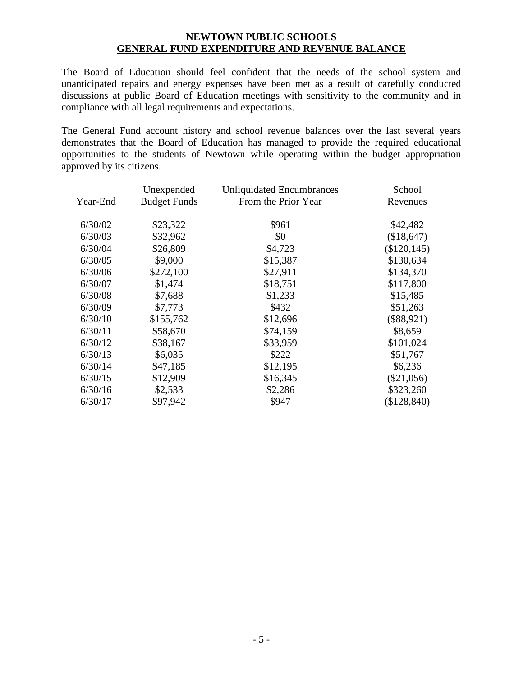### **NEWTOWN PUBLIC SCHOOLS GENERAL FUND EXPENDITURE AND REVENUE BALANCE**

The Board of Education should feel confident that the needs of the school system and unanticipated repairs and energy expenses have been met as a result of carefully conducted discussions at public Board of Education meetings with sensitivity to the community and in compliance with all legal requirements and expectations.

The General Fund account history and school revenue balances over the last several years demonstrates that the Board of Education has managed to provide the required educational opportunities to the students of Newtown while operating within the budget appropriation approved by its citizens.

|          | Unexpended          | <b>Unliquidated Encumbrances</b> | School         |
|----------|---------------------|----------------------------------|----------------|
| Year-End | <b>Budget Funds</b> | From the Prior Year              | Revenues       |
| 6/30/02  | \$23,322            | \$961                            | \$42,482       |
| 6/30/03  | \$32,962            | \$0                              | (\$18,647)     |
| 6/30/04  | \$26,809            | \$4,723                          | $(\$120, 145)$ |
| 6/30/05  | \$9,000             | \$15,387                         | \$130,634      |
| 6/30/06  | \$272,100           | \$27,911                         | \$134,370      |
| 6/30/07  | \$1,474             | \$18,751                         | \$117,800      |
| 6/30/08  | \$7,688             | \$1,233                          | \$15,485       |
| 6/30/09  | \$7,773             | \$432                            | \$51,263       |
| 6/30/10  | \$155,762           | \$12,696                         | $(\$88,921)$   |
| 6/30/11  | \$58,670            | \$74,159                         | \$8,659        |
| 6/30/12  | \$38,167            | \$33,959                         | \$101,024      |
| 6/30/13  | \$6,035             | \$222                            | \$51,767       |
| 6/30/14  | \$47,185            | \$12,195                         | \$6,236        |
| 6/30/15  | \$12,909            | \$16,345                         | $(\$21,056)$   |
| 6/30/16  | \$2,533             | \$2,286                          | \$323,260      |
| 6/30/17  | \$97,942            | \$947                            | (\$128,840)    |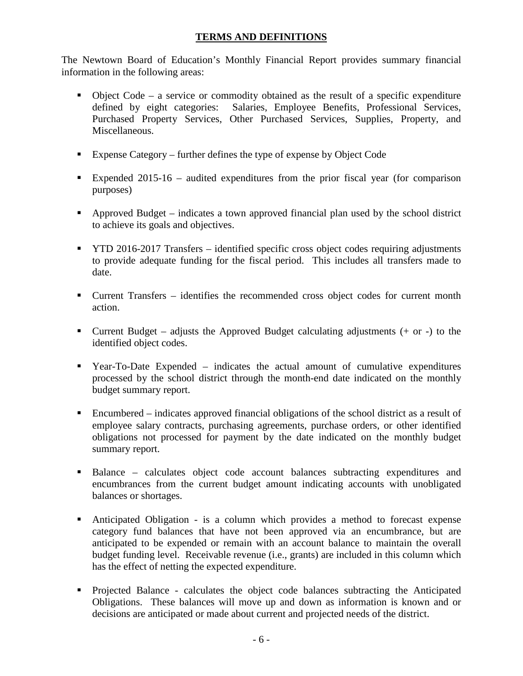## **TERMS AND DEFINITIONS**

The Newtown Board of Education's Monthly Financial Report provides summary financial information in the following areas:

- $\bullet$  Object Code a service or commodity obtained as the result of a specific expenditure defined by eight categories: Salaries, Employee Benefits, Professional Services, Purchased Property Services, Other Purchased Services, Supplies, Property, and Miscellaneous.
- Expense Category further defines the type of expense by Object Code
- Expended 2015-16 audited expenditures from the prior fiscal year (for comparison purposes)
- Approved Budget indicates a town approved financial plan used by the school district to achieve its goals and objectives.
- **TYTD 2016-2017 Transfers identified specific cross object codes requiring adjustments** to provide adequate funding for the fiscal period. This includes all transfers made to date.
- Current Transfers identifies the recommended cross object codes for current month action.
- Current Budget adjusts the Approved Budget calculating adjustments  $(+)$  or  $-)$  to the identified object codes.
- Year-To-Date Expended indicates the actual amount of cumulative expenditures processed by the school district through the month-end date indicated on the monthly budget summary report.
- Encumbered indicates approved financial obligations of the school district as a result of employee salary contracts, purchasing agreements, purchase orders, or other identified obligations not processed for payment by the date indicated on the monthly budget summary report.
- Balance calculates object code account balances subtracting expenditures and encumbrances from the current budget amount indicating accounts with unobligated balances or shortages.
- Anticipated Obligation is a column which provides a method to forecast expense category fund balances that have not been approved via an encumbrance, but are anticipated to be expended or remain with an account balance to maintain the overall budget funding level. Receivable revenue (i.e., grants) are included in this column which has the effect of netting the expected expenditure.
- Projected Balance calculates the object code balances subtracting the Anticipated Obligations. These balances will move up and down as information is known and or decisions are anticipated or made about current and projected needs of the district.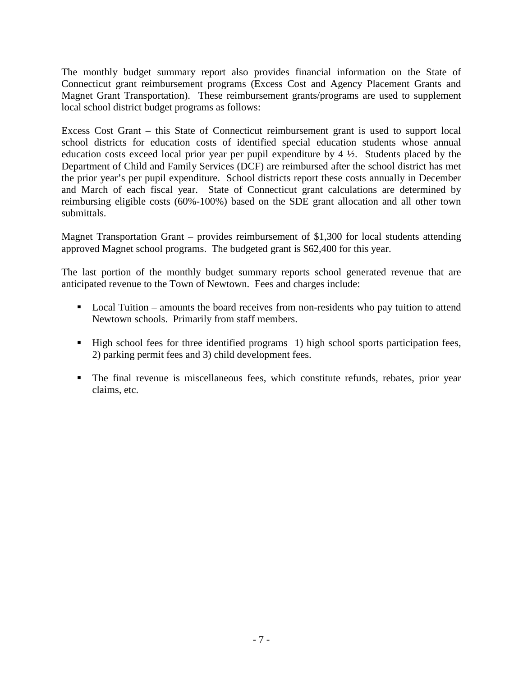The monthly budget summary report also provides financial information on the State of Connecticut grant reimbursement programs (Excess Cost and Agency Placement Grants and Magnet Grant Transportation). These reimbursement grants/programs are used to supplement local school district budget programs as follows:

Excess Cost Grant – this State of Connecticut reimbursement grant is used to support local school districts for education costs of identified special education students whose annual education costs exceed local prior year per pupil expenditure by 4 ½. Students placed by the Department of Child and Family Services (DCF) are reimbursed after the school district has met the prior year's per pupil expenditure. School districts report these costs annually in December and March of each fiscal year. State of Connecticut grant calculations are determined by reimbursing eligible costs (60%-100%) based on the SDE grant allocation and all other town submittals.

Magnet Transportation Grant – provides reimbursement of \$1,300 for local students attending approved Magnet school programs. The budgeted grant is \$62,400 for this year.

The last portion of the monthly budget summary reports school generated revenue that are anticipated revenue to the Town of Newtown. Fees and charges include:

- **Local Tuition** amounts the board receives from non-residents who pay tuition to attend Newtown schools. Primarily from staff members.
- High school fees for three identified programs 1) high school sports participation fees, 2) parking permit fees and 3) child development fees.
- The final revenue is miscellaneous fees, which constitute refunds, rebates, prior year claims, etc.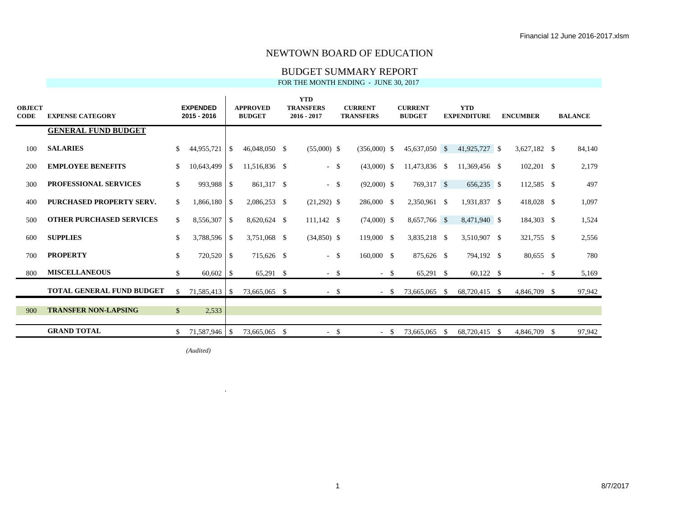#### BUDGET SUMMARY REPORT

FOR THE MONTH ENDING - JUNE 30, 2017

| <b>OBJECT</b><br><b>CODE</b> | <b>EXPENSE CATEGORY</b>          |              | <b>EXPENDED</b><br>2015 - 2016 |                | <b>APPROVED</b><br><b>BUDGET</b> | <b>YTD</b><br><b>TRANSFERS</b><br>$2016 - 2017$ | <b>CURRENT</b><br><b>TRANSFERS</b> | <b>CURRENT</b><br><b>BUDGET</b> |          | <b>YTD</b><br><b>EXPENDITURE</b> | <b>ENCUMBER</b> |        | <b>BALANCE</b> |
|------------------------------|----------------------------------|--------------|--------------------------------|----------------|----------------------------------|-------------------------------------------------|------------------------------------|---------------------------------|----------|----------------------------------|-----------------|--------|----------------|
|                              | <b>GENERAL FUND BUDGET</b>       |              |                                |                |                                  |                                                 |                                    |                                 |          |                                  |                 |        |                |
| 100                          | <b>SALARIES</b>                  | <sup>S</sup> | 44,955,721                     | - \$           | 46,048,050 \$                    | $(55,000)$ \$                                   | $(356,000)$ \$                     | 45,637,050 \$                   |          | 41,925,727 \$                    | $3,627,182$ \$  |        | 84,140         |
| 200                          | <b>EMPLOYEE BENEFITS</b>         | \$           | 10,643,499                     | l \$           | 11,516,836 \$                    | $-$ \$                                          | $(43,000)$ \$                      | 11,473,836 \$                   |          | 11,369,456 \$                    | $102,201$ \$    |        | 2,179          |
| 300                          | <b>PROFESSIONAL SERVICES</b>     | $\mathbb{S}$ | 993,988                        | l \$           | 861,317 \$                       | $-$ \$                                          | $(92,000)$ \$                      | 769,317 \$                      |          | 656,235 \$                       | 112,585 \$      |        | 497            |
| 400                          | <b>PURCHASED PROPERTY SERV.</b>  | \$           | 1,866,180                      | l \$           | 2,086,253 \$                     | $(21,292)$ \$                                   | 286,000 \$                         | 2,350,961 \$                    |          | 1,931,837 \$                     | 418,028 \$      |        | 1,097          |
| 500                          | <b>OTHER PURCHASED SERVICES</b>  | $\mathbb{S}$ | 8,556,307                      | l s            | 8,620,624 \$                     | $111,142$ \$                                    | $(74,000)$ \$                      | 8,657,766 \$                    |          | 8,471,940 \$                     | 184,303 \$      |        | 1,524          |
| 600                          | <b>SUPPLIES</b>                  | \$           | 3,788,596 \$                   |                | 3,751,068 \$                     | $(34,850)$ \$                                   | 119,000 \$                         | 3,835,218 \$                    |          | 3,510,907 \$                     | 321,755 \$      |        | 2,556          |
| 700                          | <b>PROPERTY</b>                  | $\mathbb{S}$ | 720,520                        | l \$           | 715,626 \$                       | $-$ \$                                          | 160,000 \$                         | 875,626 \$                      |          | 794,192 \$                       | 80,655 \$       |        | 780            |
| 800                          | <b>MISCELLANEOUS</b>             | $\mathbb{S}$ | 60,602                         | $\overline{1}$ | $65,291$ \$                      | $-$ \$                                          | $-$ \$                             | $65,291$ \$                     |          | $60,122$ \$                      |                 | $-$ \$ | 5,169          |
|                              | <b>TOTAL GENERAL FUND BUDGET</b> | $\mathbb{S}$ | 71,585,413 \$                  |                | 73,665,065 \$                    | $-$ \$                                          | $- S$                              | 73,665,065                      | <b>S</b> | 68,720,415 \$                    | 4,846,709       | -S     | 97,942         |
| 900                          | <b>TRANSFER NON-LAPSING</b>      | $\mathbb{S}$ | 2,533                          |                |                                  |                                                 |                                    |                                 |          |                                  |                 |        |                |
|                              | <b>GRAND TOTAL</b>               | -S           | 71,587,946 \$                  |                | 73,665,065 \$                    | $-$ \$                                          | $-$ \$                             | 73,665,065 \$                   |          | 68,720,415 \$                    | 4,846,709 \$    |        | 97,942         |

 $(Audited)$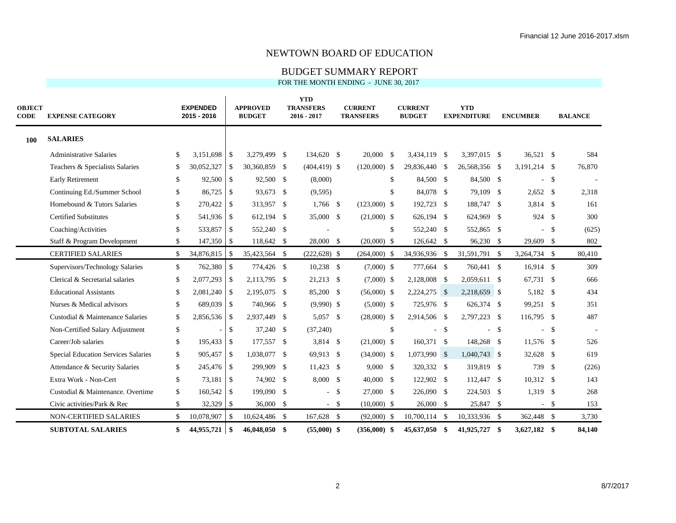#### BUDGET SUMMARY REPORT

| <b>OBJECT</b><br><b>CODE</b> | <b>EXPENSE CATEGORY</b>             |               | <b>EXPENDED</b><br>2015 - 2016 |                    | <b>APPROVED</b><br><b>BUDGET</b> | <b>YTD</b><br><b>TRANSFERS</b><br>$2016 - 2017$ |        | <b>CURRENT</b><br><b>TRANSFERS</b> |              | <b>CURRENT</b><br><b>BUDGET</b> |        | <b>YTD</b><br><b>EXPENDITURE</b> |    | <b>ENCUMBER</b> |              | <b>BALANCE</b> |
|------------------------------|-------------------------------------|---------------|--------------------------------|--------------------|----------------------------------|-------------------------------------------------|--------|------------------------------------|--------------|---------------------------------|--------|----------------------------------|----|-----------------|--------------|----------------|
| <b>100</b>                   | <b>SALARIES</b>                     |               |                                |                    |                                  |                                                 |        |                                    |              |                                 |        |                                  |    |                 |              |                |
|                              | <b>Administrative Salaries</b>      | \$            | 3,151,698                      | l \$               | 3,279,499 \$                     | 134,620 \$                                      |        | 20,000 S                           |              | 3,434,119 \$                    |        | 3,397,015 \$                     |    | 36,521 \$       |              | 584            |
|                              | Teachers & Specialists Salaries     | \$            | 30,052,327                     | $\sqrt{S}$         | 30,360,859 \$                    | $(404, 419)$ \$                                 |        | $(120,000)$ \$                     |              | 29,836,440 \$                   |        | 26,568,356 \$                    |    | 3,191,214 \$    |              | 76,870         |
|                              | Early Retirement                    | \$            |                                |                    | 92,500 \$                        | (8,000)                                         |        |                                    | -S           | 84,500 \$                       |        | 84,500 \$                        |    | $\sim$          | -S           |                |
|                              | Continuing Ed./Summer School        | \$            | 86,725                         | l \$               | 93,673 \$                        | (9,595)                                         |        |                                    |              | 84,078 \$                       |        | 79,109 \$                        |    | $2,652$ \$      |              | 2,318          |
|                              | Homebound & Tutors Salaries         | \$            | 270,422                        | <b>S</b>           | 313,957 \$                       | $1,766$ \$                                      |        | $(123,000)$ \$                     |              | 192,723 \$                      |        | 188,747 \$                       |    | 3,814 \$        |              | 161            |
|                              | <b>Certified Substitutes</b>        | \$            | 541,936                        | l \$               | 612,194 \$                       | 35,000 \$                                       |        | $(21,000)$ \$                      |              | 626,194 \$                      |        | 624,969 \$                       |    | 924 \$          |              | 300            |
|                              | Coaching/Activities                 | \$            | 533,857                        | l \$               | 552,240 \$                       |                                                 |        |                                    | \$.          | 552,240 \$                      |        | 552,865 \$                       |    |                 | - \$         | (625)          |
|                              | Staff & Program Development         | \$            | 147,350                        | l \$               | 118,642 \$                       | 28,000 \$                                       |        | $(20,000)$ \$                      |              | 126,642 \$                      |        | 96,230 \$                        |    | 29,609 \$       |              | 802            |
|                              | <b>CERTIFIED SALARIES</b>           | $\mathcal{S}$ | 34,876,815                     | -\$                | 35,423,564 \$                    | $(222, 628)$ \$                                 |        | $(264,000)$ \$                     |              | 34,936,936 \$                   |        | 31,591,791 \$                    |    | 3,264,734 \$    |              | 80,410         |
|                              | Supervisors/Technology Salaries     | \$            | 762,380                        | $\sqrt{S}$         | 774,426 \$                       | 10,238 \$                                       |        | $(7,000)$ \$                       |              | 777,664 \$                      |        | 760,441 \$                       |    | $16,914$ \$     |              | 309            |
|                              | Clerical & Secretarial salaries     | \$            | 2,077,293                      | l \$               | 2,113,795 \$                     | $21,213$ \$                                     |        | $(7,000)$ \$                       |              | 2,128,008 \$                    |        | 2,059,611 \$                     |    | 67,731 \$       |              | 666            |
|                              | <b>Educational Assistants</b>       | <sup>\$</sup> | 2,081,240                      | l \$               | 2,195,075 \$                     | 85,200 \$                                       |        | $(56,000)$ \$                      |              | 2,224,275 \$                    |        | 2,218,659 \$                     |    | 5,182 \$        |              | 434            |
|                              | Nurses & Medical advisors           | \$            | 689,039                        | l \$               | 740,966 \$                       | $(9,990)$ \$                                    |        | $(5,000)$ \$                       |              | 725,976 \$                      |        | 626,374 \$                       |    | 99,251 \$       |              | 351            |
|                              | Custodial & Maintenance Salaries    | \$            | 2,856,536 \$                   |                    | 2,937,449 \$                     | 5,057 \$                                        |        | $(28,000)$ \$                      |              | 2,914,506 \$                    |        | 2,797,223 \$                     |    | 116,795 \$      |              | 487            |
|                              | Non-Certified Salary Adjustment     | \$            |                                | <sup>\$</sup>      | 37,240 \$                        | (37,240)                                        |        |                                    | $\mathbb{S}$ |                                 | $-$ \$ | ÷.                               | -S | $\sim$          | $\mathbb{S}$ |                |
|                              | Career/Job salaries                 | \$            | 195,433                        | l \$               | 177,557 \$                       | 3,814 \$                                        |        | $(21,000)$ \$                      |              | 160,371 \$                      |        | 148,268 \$                       |    | 11,576 \$       |              | 526            |
|                              | Special Education Services Salaries | \$            | 905,457                        | l \$               | 1,038,077 \$                     | 69,913 \$                                       |        | $(34,000)$ \$                      |              | 1,073,990 \$                    |        | $1,040,743$ \$                   |    | 32,628 \$       |              | 619            |
|                              | Attendance & Security Salaries      | \$            | 245,476                        | l \$               | 299,909 \$                       | $11,423$ \$                                     |        | $9,000$ \$                         |              | 320,332 \$                      |        | 319,819 \$                       |    | 739             | - \$         | (226)          |
|                              | Extra Work - Non-Cert               | \$            | 73,181                         | $\sqrt{S}$         | 74,902 \$                        | 8,000 \$                                        |        | 40,000 \$                          |              | 122,902 \$                      |        | 112,447 \$                       |    | $10,312$ \$     |              | 143            |
|                              | Custodial & Maintenance. Overtime   | \$            | 160,542                        | l \$               | 199,090 \$                       |                                                 | $-$ \$ | 27,000 \$                          |              | 226,090 \$                      |        | 224,503 \$                       |    | 1,319 \$        |              | 268            |
|                              | Civic activities/Park & Rec         | \$            | 32,329                         | <b>S</b>           | 36,000 \$                        | $-$ \$                                          |        | $(10,000)$ \$                      |              | 26,000 \$                       |        | 25,847 \$                        |    |                 | $-$ \$       | 153            |
|                              | <b>NON-CERTIFIED SALARIES</b>       | \$            | 10,078,907                     | $\mathcal{S}$      | 10,624,486 \$                    | 167,628 \$                                      |        | $(92,000)$ \$                      |              | 10,700,114 \$                   |        | 10,333,936 \$                    |    | 362,448 \$      |              | 3,730          |
|                              | <b>SUBTOTAL SALARIES</b>            | \$            | 44,955,721                     | $\mathbf{\hat{s}}$ | 46,048,050 \$                    | $(55,000)$ \$                                   |        | $(356,000)$ \$                     |              | 45,637,050 \$                   |        | 41,925,727 \$                    |    | 3,627,182 \$    |              | 84,140         |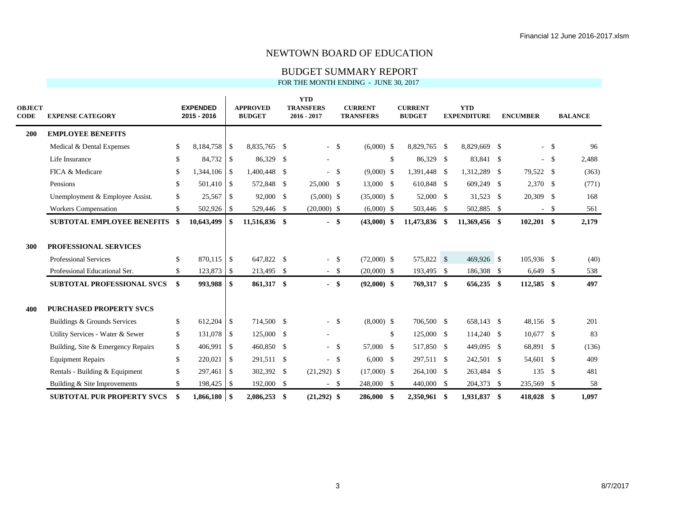BUDGET SUMMARY REPORT

| <b>OBJECT</b><br><b>CODE</b> | <b>EXPENSE CATEGORY</b>            |               | <b>EXPENDED</b><br>2015 - 2016 |                          | <b>APPROVED</b><br><b>BUDGET</b> | <b>YTD</b><br><b>TRANSFERS</b><br>$2016 - 2017$ |        | <b>CURRENT</b><br><b>TRANSFERS</b> |              | <b>CURRENT</b><br><b>BUDGET</b> | <b>YTD</b><br><b>EXPENDITURE</b> | <b>ENCUMBER</b> |        | <b>BALANCE</b> |
|------------------------------|------------------------------------|---------------|--------------------------------|--------------------------|----------------------------------|-------------------------------------------------|--------|------------------------------------|--------------|---------------------------------|----------------------------------|-----------------|--------|----------------|
| 200                          | <b>EMPLOYEE BENEFITS</b>           |               |                                |                          |                                  |                                                 |        |                                    |              |                                 |                                  |                 |        |                |
|                              | Medical & Dental Expenses          | \$            | 8,184,758                      | <b>S</b>                 | 8,835,765 \$                     | $-$ \$                                          |        | $(6,000)$ \$                       |              | 8,829,765 \$                    | 8,829,669 \$                     |                 | $-$ \$ | 96             |
|                              | Life Insurance                     | \$            |                                |                          | 86,329 \$                        |                                                 |        |                                    | $\mathbb{S}$ | 86,329 \$                       | 83,841 \$                        |                 | $-$ \$ | 2,488          |
|                              | FICA & Medicare                    | \$            | 1,344,106                      | l \$                     | 1,400,448 \$                     | $-$ \$                                          |        | $(9,000)$ \$                       |              | 1,391,448 \$                    | 1,312,289 \$                     | 79,522 \$       |        | (363)          |
|                              | Pensions                           | \$            | 501,410                        | l \$                     | 572,848 \$                       | 25,000 \$                                       |        | 13,000 \$                          |              | 610,848 \$                      | 609,249 \$                       | $2,370$ \$      |        | (771)          |
|                              | Unemployment & Employee Assist.    | \$            | 25,567                         | l \$                     | 92,000 \$                        | $(5,000)$ \$                                    |        | $(35,000)$ \$                      |              | 52,000 \$                       | 31,523 \$                        | 20,309 \$       |        | 168            |
|                              | <b>Workers Compensation</b>        | \$            | 502,926 \$                     |                          | 529,446 \$                       | $(20,000)$ \$                                   |        | $(6,000)$ \$                       |              | 503,446 \$                      | 502,885 \$                       |                 | $-$ \$ | 561            |
|                              | <b>SUBTOTAL EMPLOYEE BENEFITS</b>  | -\$           | 10,643,499                     | -\$                      | 11,516,836 \$                    |                                                 | $-$ \$ | $(43,000)$ \$                      |              | 11,473,836 \$                   | 11,369,456 \$                    | $102,201$ \$    |        | 2,179          |
| 300                          | <b>PROFESSIONAL SERVICES</b>       |               |                                |                          |                                  |                                                 |        |                                    |              |                                 |                                  |                 |        |                |
|                              | <b>Professional Services</b>       | \$            | 870,115 \$                     |                          | 647,822 \$                       |                                                 | $-$ \$ | $(72,000)$ \$                      |              | 575,822 \$                      | $469,926$ \$                     | 105,936 \$      |        | (40)           |
|                              | Professional Educational Ser.      | $\mathcal{S}$ | 123,873                        | $\sqrt{S}$               | 213,495 \$                       |                                                 | $-$ \$ | $(20,000)$ \$                      |              | 193,495 \$                      | 186,308 \$                       | $6,649$ \$      |        | 538            |
|                              | <b>SUBTOTAL PROFESSIONAL SVCS</b>  | \$            | 993,988                        | $\mathbf{s}$             | 861,317 \$                       | $-$ \$                                          |        | $(92,000)$ \$                      |              | 769,317 \$                      | 656,235 \$                       | 112,585 \$      |        | 497            |
| 400                          | <b>PURCHASED PROPERTY SVCS</b>     |               |                                |                          |                                  |                                                 |        |                                    |              |                                 |                                  |                 |        |                |
|                              | Buildings & Grounds Services       | \$            | 612,204                        | $\overline{1}$           | 714,500 \$                       | $-$ \$                                          |        | $(8,000)$ \$                       |              | 706,500 \$                      | 658,143 \$                       | 48,156 \$       |        | 201            |
|                              | Utility Services - Water & Sewer   | \$            | 131,078                        | $\overline{1}$           | 125,000 \$                       |                                                 |        |                                    | $\mathbb{S}$ | $125,000$ \$                    | 114,240 \$                       | $10,677$ \$     |        | 83             |
|                              | Building, Site & Emergency Repairs | \$            | 406,991                        | $\mathbf{s}$             | 460,850 \$                       |                                                 | $-$ \$ | 57,000 \$                          |              | 517,850 \$                      | 449,095 \$                       | 68,891 \$       |        | (136)          |
|                              | <b>Equipment Repairs</b>           | \$            | 220,021                        | <sup>\$</sup>            | 291,511 \$                       | $-$ \$                                          |        | $6,000$ \$                         |              | 297,511 \$                      | 242,501 \$                       | 54,601 \$       |        | 409            |
|                              | Rentals - Building & Equipment     | \$            | 297,461                        | -S                       | 302,392 \$                       | $(21,292)$ \$                                   |        | $(17,000)$ \$                      |              | 264,100 \$                      | 263,484 \$                       | 135S            |        | 481            |
|                              | Building & Site Improvements       | \$            | 198,425                        | $\overline{\phantom{a}}$ | 192,000 \$                       |                                                 | $-$ \$ | 248,000 \$                         |              | 440,000 \$                      | 204,373 \$                       | 235,569 \$      |        | 58             |
|                              | <b>SUBTOTAL PUR PROPERTY SVCS</b>  | \$            | $1,866,180$ \$                 |                          | 2,086,253 \$                     | $(21,292)$ \$                                   |        | 286,000 \$                         |              | 2,350,961 \$                    | 1,931,837 \$                     | 418,028 \$      |        | 1,097          |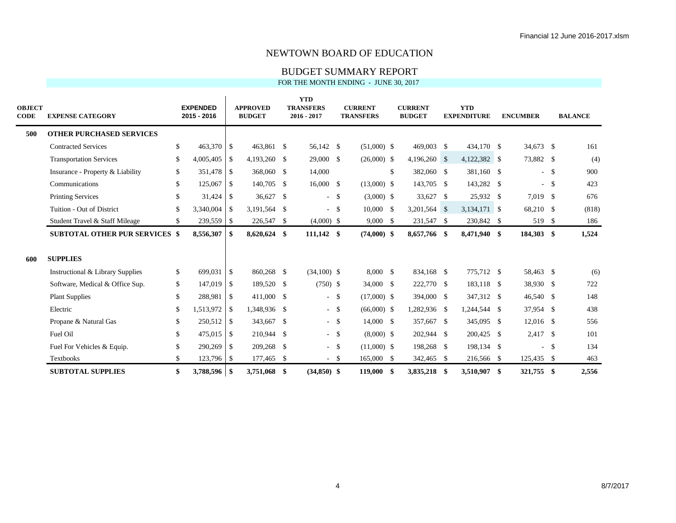BUDGET SUMMARY REPORT

| <b>OBJECT</b><br>CODE | <b>EXPENSE CATEGORY</b>               | <b>EXPENDED</b><br>2015 - 2016 |               | <b>APPROVED</b><br><b>BUDGET</b> | <b>YTD</b><br><b>TRANSFERS</b><br>$2016 - 2017$ |        | <b>CURRENT</b><br><b>TRANSFERS</b> | <b>CURRENT</b><br><b>BUDGET</b> |      | <b>YTD</b><br><b>EXPENDITURE</b> |     | <b>ENCUMBER</b> |               | <b>BALANCE</b> |
|-----------------------|---------------------------------------|--------------------------------|---------------|----------------------------------|-------------------------------------------------|--------|------------------------------------|---------------------------------|------|----------------------------------|-----|-----------------|---------------|----------------|
| 500                   | <b>OTHER PURCHASED SERVICES</b>       |                                |               |                                  |                                                 |        |                                    |                                 |      |                                  |     |                 |               |                |
|                       | <b>Contracted Services</b>            | \$<br>463,370 \$               |               | 463,861 \$                       | 56,142 \$                                       |        | $(51,000)$ \$                      | 469,003 \$                      |      | 434,170 \$                       |     | 34,673 \$       |               | 161            |
|                       | <b>Transportation Services</b>        | \$<br>4,005,405                | \$            | 4,193,260 \$                     | 29,000 \$                                       |        | $(26,000)$ \$                      | $4,196,260$ \$                  |      | 4,122,382 \$                     |     | 73,882 \$       |               | (4)            |
|                       | Insurance - Property & Liability      | \$<br>351,478                  | \$            | 368,060 \$                       | 14,000                                          |        |                                    | \$<br>382,060 \$                |      | 381,160 \$                       |     |                 | $-$ \$        | 900            |
|                       | Communications                        | \$<br>125,067                  | \$            | 140,705 \$                       | $16,000 \quad$ \$                               |        | $(13,000)$ \$                      | 143,705 \$                      |      | 143,282 \$                       |     |                 | $-$ \$        | 423            |
|                       | <b>Printing Services</b>              | \$<br>31,424                   | -\$           | 36,627 \$                        |                                                 | $-$ \$ | $(3,000)$ \$                       | 33,627 \$                       |      | 25,932 \$                        |     | 7,019 \$        |               | 676            |
|                       | Tuition - Out of District             | \$<br>3,340,004                | <sup>\$</sup> | 3,191,564 \$                     | $-$ \$                                          |        | $10,000 \quad$ \$                  | 3,201,564 \$                    |      | 3,134,171 \$                     |     | 68,210 \$       |               | (818)          |
|                       | Student Travel & Staff Mileage        | \$<br>239,559 \$               |               | 226,547 \$                       | $(4,000)$ \$                                    |        | $9,000$ \$                         | 231,547 \$                      |      | 230,842 \$                       |     | 519 \$          |               | 186            |
|                       | <b>SUBTOTAL OTHER PUR SERVICES \$</b> | 8,556,307                      | \$            | 8,620,624 \$                     | $111,142$ \$                                    |        | $(74,000)$ \$                      | 8,657,766 \$                    |      | 8,471,940 \$                     |     | 184,303 \$      |               | 1,524          |
| 600                   | <b>SUPPLIES</b>                       |                                |               |                                  |                                                 |        |                                    |                                 |      |                                  |     |                 |               |                |
|                       | Instructional & Library Supplies      | \$<br>699,031                  | <b>S</b>      | 860,268 \$                       | $(34,100)$ \$                                   |        | 8,000 \$                           | 834,168 \$                      |      | 775,712 \$                       |     | 58,463 \$       |               | (6)            |
|                       | Software, Medical & Office Sup.       | \$<br>147,019                  | \$            | 189,520 \$                       | $(750)$ \$                                      |        | 34,000 \$                          | 222,770 \$                      |      | 183,118 \$                       |     | 38,930 \$       |               | 722            |
|                       | <b>Plant Supplies</b>                 | \$<br>288,981                  | \$            | 411,000 \$                       |                                                 | $-$ \$ | $(17,000)$ \$                      | 394,000 \$                      |      | 347,312 \$                       |     | 46,540 \$       |               | 148            |
|                       | Electric                              | \$<br>1,513,972                | \$            | 1,348,936 \$                     |                                                 | $-$ \$ | $(66,000)$ \$                      | 1,282,936 \$                    |      | 1,244,544 \$                     |     | 37,954 \$       |               | 438            |
|                       | Propane & Natural Gas                 | \$<br>250,512                  | <sup>\$</sup> | 343,667 \$                       |                                                 | $-$ \$ | 14,000 \$                          | 357,667 \$                      |      | 345,095 \$                       |     | $12,016$ \$     |               | 556            |
|                       | Fuel Oil                              | \$<br>475,015                  | \$            | 210,944 \$                       |                                                 | $-$ \$ | $(8,000)$ \$                       | 202,944 \$                      |      | 200,425 \$                       |     | 2,417 \$        |               | 101            |
|                       | Fuel For Vehicles & Equip.            | \$<br>290,269                  | <sup>\$</sup> | 209,268 \$                       |                                                 | $-$ \$ | $(11,000)$ \$                      | 198,268 \$                      |      | 198,134 \$                       |     | $\sim$          | $\mathcal{S}$ | 134            |
|                       | <b>Textbooks</b>                      | \$<br>123,796 \$               |               | 177,465 \$                       |                                                 | $-$ \$ | 165,000 \$                         | 342,465 \$                      |      | 216,566 \$                       |     | 125,435 \$      |               | 463            |
|                       | <b>SUBTOTAL SUPPLIES</b>              | \$<br>3,788,596 \$             |               | 3,751,068 \$                     | $(34,850)$ \$                                   |        | 119,000 \$                         | 3,835,218                       | - \$ | 3,510,907                        | -\$ | 321,755         | \$            | 2,556          |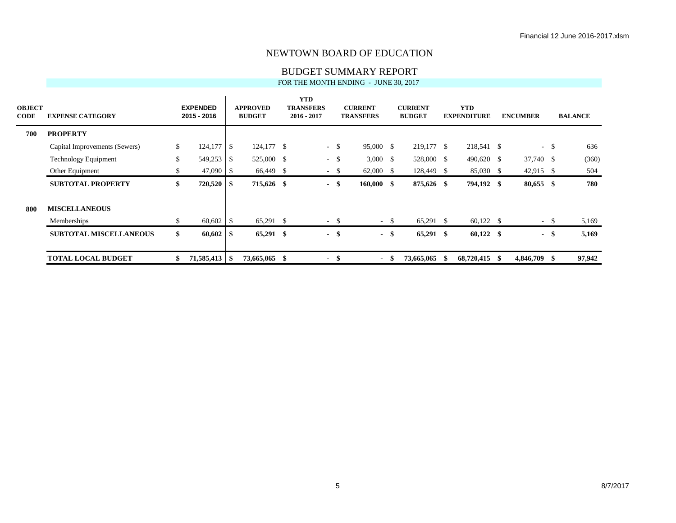#### BUDGET SUMMARY REPORT

| <b>OBJECT</b><br><b>CODE</b> | <b>EXPENSE CATEGORY</b>       | <b>EXPENDED</b><br>2015 - 2016 |     | <b>APPROVED</b><br><b>BUDGET</b> |      | <b>YTD</b><br><b>TRANSFERS</b><br>$2016 - 2017$ | <b>CURRENT</b><br><b>TRANSFERS</b> |        | <b>CURRENT</b><br><b>BUDGET</b> |      | <b>YTD</b><br><b>EXPENDITURE</b> |    | <b>ENCUMBER</b> |        | <b>BALANCE</b> |
|------------------------------|-------------------------------|--------------------------------|-----|----------------------------------|------|-------------------------------------------------|------------------------------------|--------|---------------------------------|------|----------------------------------|----|-----------------|--------|----------------|
| 700                          | <b>PROPERTY</b>               |                                |     |                                  |      |                                                 |                                    |        |                                 |      |                                  |    |                 |        |                |
|                              | Capital Improvements (Sewers) | \$                             |     | 124,177 \$                       |      | $-$ \$                                          | 95,000 \$                          |        | 219,177 \$                      |      | 218,541 \$                       |    |                 | $- S$  | 636            |
|                              | <b>Technology Equipment</b>   | \$<br>549,253                  | -\$ | 525,000 \$                       |      | $- S$                                           | $3,000 \quad$ \$                   |        | 528,000 \$                      |      | 490,620 \$                       |    | 37,740 \$       |        | (360)          |
|                              | Other Equipment               | \$<br>$47,090$ \$              |     | 66,449 \$                        |      | $-$ \$                                          | $62,000$ \$                        |        | 128,449 \$                      |      | 85,030 \$                        |    | $42,915$ \$     |        | 504            |
|                              | <b>SUBTOTAL PROPERTY</b>      | \$<br>$720,520$ \$             |     | 715,626 \$                       |      | $-$ \$                                          | $160,000$ \$                       |        | 875,626 \$                      |      | 794,192 \$                       |    | $80,655$ \$     |        | 780            |
| 800                          | <b>MISCELLANEOUS</b>          |                                |     |                                  |      |                                                 |                                    |        |                                 |      |                                  |    |                 |        |                |
|                              | Memberships                   | \$<br>$60,602$ \$              |     | 65,291 \$                        |      | $-$ \$                                          |                                    | $-$ \$ | 65,291 \$                       |      | $60,122$ \$                      |    |                 | $-$ \$ | 5,169          |
|                              | <b>SUBTOTAL MISCELLANEOUS</b> | \$<br>$60,602$   \$            |     | 65,291 \$                        |      | - \$                                            |                                    | - \$   | $65,291$ \$                     |      | $60,122$ \$                      |    |                 | - \$   | 5,169          |
|                              | <b>TOTAL LOCAL BUDGET</b>     | \$                             |     | 73,665,065                       | - \$ | $\blacksquare$                                  | \$<br>$\blacksquare$               | - \$   | 73,665,065                      | - SS | 68,720,415                       | -8 | 4,846,709 \$    |        | 97,942         |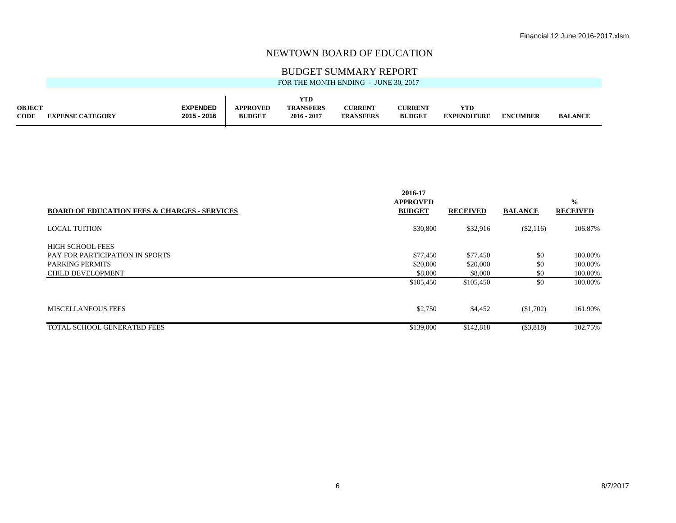#### BUDGET SUMMARY REPORT

| YTD<br><b>EXPENDED</b><br><b>APPROVED</b><br><b>TRANSFERS</b><br><b>OBJECT</b><br><b>CURRENT</b><br><b>CURRENT</b><br>YTD<br>2015 - 2016<br>CODE<br><b>BUDGET</b><br><b>BUDGET</b><br>2016 - 2017<br><b>TRANSFERS</b><br><b>EXPENDITURE</b><br><b>EXPENSE CATEGORY</b> | <b>ENCUMBER</b><br><b>BALANCE</b> |
|------------------------------------------------------------------------------------------------------------------------------------------------------------------------------------------------------------------------------------------------------------------------|-----------------------------------|

| <b>BOARD OF EDUCATION FEES &amp; CHARGES - SERVICES</b> | 2016-17<br><b>APPROVED</b><br><b>BUDGET</b> | <b>RECEIVED</b> | <b>BALANCE</b> | $\frac{0}{0}$<br><b>RECEIVED</b> |
|---------------------------------------------------------|---------------------------------------------|-----------------|----------------|----------------------------------|
| <b>LOCAL TUITION</b>                                    | \$30,800                                    | \$32,916        | $(\$2,116)$    | 106.87%                          |
| <b>HIGH SCHOOL FEES</b>                                 |                                             |                 |                |                                  |
| PAY FOR PARTICIPATION IN SPORTS                         | \$77,450                                    | \$77,450        | \$0            | 100.00%                          |
| <b>PARKING PERMITS</b>                                  | \$20,000                                    | \$20,000        | \$0            | 100.00%                          |
| <b>CHILD DEVELOPMENT</b>                                | \$8,000                                     | \$8,000         | \$0            | 100.00%                          |
|                                                         | \$105,450                                   | \$105,450       | \$0            | 100.00%                          |
| <b>MISCELLANEOUS FEES</b>                               | \$2,750                                     | \$4,452         | \$1,702        | 161.90%                          |
| TOTAL SCHOOL GENERATED FEES                             | \$139,000                                   | \$142,818       | (S3,818)       | 102.75%                          |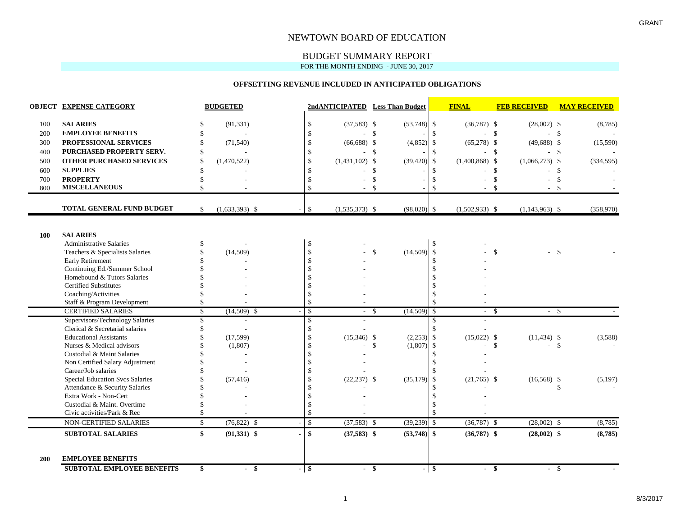## BUDGET SUMMARY REPORT

#### FOR THE MONTH ENDING - JUNE 30, 2017

 $\mathbf{r}$ 

#### **OFFSETTING REVENUE INCLUDED IN ANTICIPATED OBLIGATIONS**

|            | <b>OBJECT EXPENSE CATEGORY</b>                    |               | <b>BUDGETED</b>  |                |               |                  | 2ndANTICIPATED Less Than Budget |                                | <b>FINAL</b>     | <b>FEB RECEIVED</b>     | <b>MAY RECEIVED</b> |
|------------|---------------------------------------------------|---------------|------------------|----------------|---------------|------------------|---------------------------------|--------------------------------|------------------|-------------------------|---------------------|
| 100        | <b>SALARIES</b>                                   | <sup>\$</sup> | (91, 331)        |                | $\mathbb{S}$  | $(37,583)$ \$    | $(53,748)$ \$                   |                                | $(36,787)$ \$    | $(28,002)$ \$           | (8,785)             |
| 200        | <b>EMPLOYEE BENEFITS</b>                          | <sup>\$</sup> | ÷                |                | $\mathcal{S}$ | $-$ \$           |                                 | $\mathbf{\mathcal{S}}$         | $-$ \$           | $-5$                    | $\sim$              |
| 300        | PROFESSIONAL SERVICES                             | \$            | (71, 540)        |                | \$            | $(66,688)$ \$    | (4, 852)                        | \$                             | $(65,278)$ \$    | $(49,688)$ \$           | (15,590)            |
| 400        | PURCHASED PROPERTY SERV.                          | <sup>\$</sup> | $\sim$           |                | \$            |                  | $\mathbf{s}$                    | \$                             | $\overline{a}$   | $\mathbb{S}$            | \$                  |
| 500        | <b>OTHER PURCHASED SERVICES</b>                   | $\mathbf S$   | (1,470,522)      |                | $\mathcal{S}$ | $(1,431,102)$ \$ | (39, 420)                       | $\mathbb{S}$                   | $(1,400,868)$ \$ | $(1,066,273)$ \$        | (334, 595)          |
| 600        | <b>SUPPLIES</b>                                   | $\mathbf{\$}$ |                  |                | $\mathcal{S}$ |                  | - \$                            | \$                             |                  | $\mathcal{S}$           | - \$                |
| 700        | <b>PROPERTY</b>                                   | <sup>\$</sup> |                  |                | $\mathcal{S}$ |                  | \$                              | \$                             |                  | $\mathbb{S}$            | \$                  |
| 800        | <b>MISCELLANEOUS</b>                              | \$            |                  |                | \$            | $-$ \$           |                                 | $\mathbf S$                    |                  | -\$<br>$-$ \$           |                     |
|            | <b>TOTAL GENERAL FUND BUDGET</b>                  | \$            | $(1,633,393)$ \$ |                | \$            | $(1,535,373)$ \$ | $(98,020)$ \$                   |                                | $(1,502,933)$ \$ | $(1,143,963)$ \$        | (358,970)           |
|            |                                                   |               |                  |                |               |                  |                                 |                                |                  |                         |                     |
| 100        | <b>SALARIES</b><br><b>Administrative Salaries</b> | <sup>\$</sup> |                  |                | \$            |                  |                                 | \$                             |                  |                         |                     |
|            | Teachers & Specialists Salaries                   | \$            | (14,509)         |                | \$            |                  | (14,509)<br>$\mathbf{\hat{S}}$  | \$                             |                  | \$<br>$-5$              |                     |
|            | <b>Early Retirement</b>                           | \$            |                  |                | \$            |                  |                                 | \$                             |                  |                         |                     |
|            | Continuing Ed./Summer School                      |               |                  |                |               |                  |                                 | $\mathcal{S}$                  |                  |                         |                     |
|            | Homebound & Tutors Salaries                       |               |                  |                |               |                  |                                 |                                |                  |                         |                     |
|            | <b>Certified Substitutes</b>                      |               |                  |                | $\mathcal{S}$ |                  |                                 | $\mathcal{S}$                  |                  |                         |                     |
|            | Coaching/Activities                               |               |                  |                | <sup>\$</sup> |                  |                                 | $\mathcal{S}$                  |                  |                         |                     |
|            | Staff & Program Development                       | \$            |                  |                | $\mathcal{S}$ |                  |                                 | $\mathcal{S}$                  |                  |                         |                     |
|            | <b>CERTIFIED SALARIES</b>                         | $\mathbf{s}$  | $(14,509)$ \$    |                | -S            | $-5$             | (14,509)                        | $\mathbb{S}$                   | - \$             | $-$ \$                  |                     |
|            | Supervisors/Technology Salaries                   | \$            |                  |                | \$            |                  |                                 | $\mathbf{s}$                   |                  |                         |                     |
|            | Clerical & Secretarial salaries                   | \$            |                  |                | \$            |                  |                                 | \$                             |                  |                         |                     |
|            | <b>Educational Assistants</b>                     | $\mathcal{S}$ | (17, 599)        |                | \$            | $(15,346)$ \$    | (2,253)                         | $\mathbb{S}$                   | $(15,022)$ \$    | $(11, 434)$ \$          | (3,588)             |
|            | Nurses & Medical advisors                         |               | (1,807)          |                | $\mathcal{S}$ |                  | (1,807)<br>$\mathbf{\$}$        | $\mathbb{S}$                   |                  | $\mathcal{S}$<br>$-$ \$ |                     |
|            | Custodial & Maint Salaries                        |               |                  |                | \$            |                  |                                 | \$                             |                  |                         |                     |
|            | Non Certified Salary Adjustment                   |               |                  |                |               |                  |                                 | $\mathcal{S}$                  |                  |                         |                     |
|            | Career/Job salaries                               |               |                  |                | $\mathcal{S}$ |                  |                                 | $\mathcal{S}$                  |                  |                         |                     |
|            | <b>Special Education Svcs Salaries</b>            |               | (57, 416)        |                | <sup>\$</sup> | $(22, 237)$ \$   | (35, 179)                       | \$                             | $(21,765)$ \$    | $(16,568)$ \$           | (5,197)             |
|            | Attendance & Security Salaries                    |               |                  |                |               |                  |                                 | S                              |                  |                         | \$                  |
|            | Extra Work - Non-Cert                             |               |                  |                |               |                  |                                 | $\mathbb{S}$                   |                  |                         |                     |
|            | Custodial & Maint. Overtime                       |               |                  |                | \$.           |                  |                                 | -S                             |                  |                         |                     |
|            | Civic activities/Park & Rec                       | \$            |                  |                | \$            |                  |                                 | $\mathbf S$                    |                  |                         |                     |
|            | NON-CERTIFIED SALARIES                            | $\mathbb{S}$  | $(76,822)$ \$    |                | \$            | $(37,583)$ \$    | $(39,239)$ \$                   |                                | $(36,787)$ \$    | $(28,002)$ \$           | (8,785)             |
|            | <b>SUBTOTAL SALARIES</b>                          | $\mathbf{s}$  | $(91,331)$ \$    |                | \$            | $(37,583)$ \$    | $(53,748)$ \$                   |                                | $(36,787)$ \$    | $(28,002)$ \$           | (8,785)             |
| <b>200</b> | <b>EMPLOYEE BENEFITS</b>                          |               |                  |                |               |                  |                                 |                                |                  |                         |                     |
|            | <b>SUBTOTAL EMPLOYEE BENEFITS</b>                 | \$            | $-$ \$           | $\blacksquare$ | $\sqrt{3}$    | $-$ \$           |                                 | \$<br>$\overline{\phantom{a}}$ | $-$ \$           | $-$ \$                  |                     |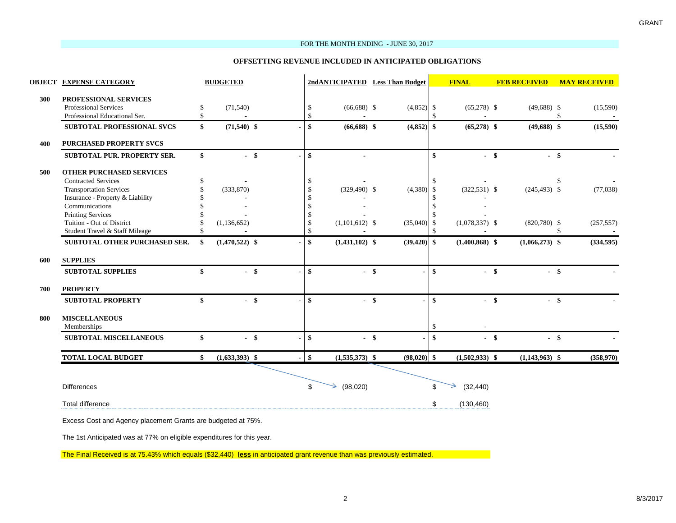#### FOR THE MONTH ENDING - JUNE 30, 2017

#### **OFFSETTING REVENUE INCLUDED IN ANTICIPATED OBLIGATIONS**

| 2ndANTICIPATED Less Than Budget |                |                    | <b>OBJECT EXPENSE CATEGORY</b>                        | <b>BUDGETED</b>  |                  |                | <b>FINAL</b>                   | <b>FEB RECEIVED</b> | <b>MAY RECEIVED</b>            |
|---------------------------------|----------------|--------------------|-------------------------------------------------------|------------------|------------------|----------------|--------------------------------|---------------------|--------------------------------|
| \$                              | (71, 540)      |                    | PROFESSIONAL SERVICES<br>Professional Services<br>\$  |                  | $(66,688)$ \$    | $(4,852)$ \$   | $(65,278)$ \$                  | $(49,688)$ \$       | (15,590)                       |
| $\mathbf{\hat{S}}$              |                | \$                 | Professional Educational Ser.                         |                  |                  |                | $\mathcal{S}$                  |                     | -\$                            |
| $\mathbf{s}$                    |                |                    | SUBTOTAL PROFESSIONAL SVCS<br>\$                      | $(71,540)$ \$    | $(66,688)$ \$    | $(4,852)$ \$   | $(65,278)$ \$                  | $(49,688)$ \$       | (15,590)                       |
|                                 |                |                    | <b>PURCHASED PROPERTY SVCS</b>                        |                  |                  |                |                                |                     |                                |
| \$                              |                |                    | $\mathbf{s}$<br><b>SUBTOTAL PUR. PROPERTY SER.</b>    | $-$ \$           |                  |                | $\mathbf{s}$                   | $-$ \$<br>$-$ \$    |                                |
|                                 |                |                    | <b>OTHER PURCHASED SERVICES</b>                       |                  |                  |                |                                |                     |                                |
| \$                              |                | \$.                | <b>Contracted Services</b>                            |                  |                  |                | -\$                            |                     | <sup>\$</sup>                  |
| \$                              | (333,870)      |                    | <b>Transportation Services</b>                        |                  | $(329, 490)$ \$  | (4,380)        | $(322, 531)$ \$<br>-\$         | $(245, 493)$ \$     | (77, 038)                      |
| $\mathbb{S}$                    |                |                    | Insurance - Property & Liability                      |                  |                  |                | -8                             |                     |                                |
| \$                              |                |                    | Communications                                        |                  |                  |                | $\mathbf{\hat{S}}$             |                     |                                |
| \$<br>\$                        | (1, 136, 652)  |                    | <b>Printing Services</b><br>Tuition - Out of District |                  | $(1,101,612)$ \$ | (35,040)       | -\$<br>$(1,078,337)$ \$<br>-\$ | $(820,780)$ \$      | (257, 557)                     |
| $\mathsf{\$}$<br>٠              | $\overline{a}$ | $\mathbf{\hat{S}}$ | Student Travel & Staff Mileage                        |                  |                  |                | $\mathcal{S}$                  |                     | \$<br>$\overline{\phantom{a}}$ |
|                                 |                |                    |                                                       |                  |                  |                |                                |                     |                                |
| $\mathbf{s}$                    |                |                    | SUBTOTAL OTHER PURCHASED SER.<br>\$                   | $(1,470,522)$ \$ | $(1,431,102)$ \$ | $(39, 420)$ \$ | $(1,400,868)$ \$               | $(1,066,273)$ \$    | (334, 595)                     |
|                                 |                |                    | <b>SUPPLIES</b>                                       |                  |                  |                |                                |                     |                                |
| \$                              |                | \$                 | <b>SUBTOTAL SUPPLIES</b>                              | $-$ \$           | $-$ \$           |                | \$                             | $-$ \$<br>$-$ \$    |                                |
|                                 |                |                    | <b>PROPERTY</b>                                       |                  |                  |                |                                |                     |                                |
| $\mathbf{s}$                    |                | \$                 | <b>SUBTOTAL PROPERTY</b>                              | $-$ \$           | $-$ \$           |                | -\$                            | $-$ \$<br>$-$ \$    |                                |
|                                 |                |                    | <b>MISCELLANEOUS</b>                                  |                  |                  |                |                                |                     |                                |
|                                 |                |                    | Memberships                                           |                  |                  |                | $\mathbf{\$}$                  |                     |                                |
| \$                              |                | \$                 | <b>SUBTOTAL MISCELLANEOUS</b>                         | $-$ \$           | $-$ \$           |                | -\$                            | $-$ \$<br>$-$ \$    |                                |
| $\mathbf{s}$                    |                |                    | <b>TOTAL LOCAL BUDGET</b><br>\$                       | $(1,633,393)$ \$ | $(1,535,373)$ \$ | $(98,020)$ \$  | $(1,502,933)$ \$               | $(1,143,963)$ \$    | (358,970)                      |
|                                 |                |                    |                                                       |                  |                  |                |                                |                     |                                |
| \$<br>(98,020)                  |                |                    | <b>Differences</b>                                    |                  |                  |                | \$<br>(32, 440)                |                     |                                |
|                                 |                |                    | <b>Total difference</b>                               |                  |                  |                | \$<br>(130, 460)               |                     |                                |
|                                 |                |                    |                                                       |                  |                  |                |                                |                     |                                |

Excess Cost and Agency placement Grants are budgeted at 75%.

The 1st Anticipated was at 77% on eligible expenditures for this year.

The Final Received is at 75.43% which equals (\$32,440) **less** in anticipated grant revenue than was previously estimated.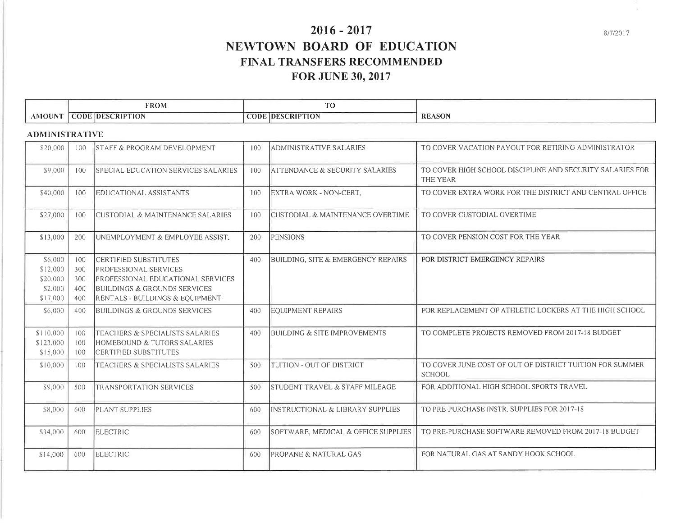# $2016 - 2017$ NEWTOWN BOARD OF EDUCATION FINAL TRANSFERS RECOMMENDED **FOR JUNE 30, 2017**

|       | <b>FROM</b>                                                                                                                                                                                                                                                                                                          | T <sub>O</sub>                                              |               |
|-------|----------------------------------------------------------------------------------------------------------------------------------------------------------------------------------------------------------------------------------------------------------------------------------------------------------------------|-------------------------------------------------------------|---------------|
| A M C | <b>CRIP</b><br>DES<br>TON<br>ODF<br>the contract of the contract of the contract of<br>the control of the control of the control of the control of the control of the control of the control of the control of the control of the control of the control of the control of the control of the control of the control | TION<br><b>CRIPT</b><br>$\overline{C}$ ODE.<br><b>IDESC</b> | <b>REASON</b> |

#### **ADMINISTRATIVE**

| \$20,000                                               | 100                             | <b>STAFF &amp; PROGRAM DEVELOPMENT</b>                                                                                                                               | 100 | <b>ADMINISTRATIVE SALARIES</b>              | TO COVER VACATION PAYOUT FOR RETIRING ADMINISTRATOR                       |
|--------------------------------------------------------|---------------------------------|----------------------------------------------------------------------------------------------------------------------------------------------------------------------|-----|---------------------------------------------|---------------------------------------------------------------------------|
| \$9,000                                                | 100                             | SPECIAL EDUCATION SERVICES SALARIES                                                                                                                                  | 100 | <b>ATTENDANCE &amp; SECURITY SALARIES</b>   | TO COVER HIGH SCHOOL DISCIPLINE AND SECURITY SALARIES FOR<br>THE YEAR     |
| \$40,000                                               | 100                             | <b>EDUCATIONAL ASSISTANTS</b>                                                                                                                                        | 100 | EXTRA WORK - NON-CERT.                      | TO COVER EXTRA WORK FOR THE DISTRICT AND CENTRAL OFFICE                   |
| \$27,000                                               | 100                             | <b>CUSTODIAL &amp; MAINTENANCE SALARIES</b>                                                                                                                          | 100 | <b>CUSTODIAL &amp; MAINTENANCE OVERTIME</b> | TO COVER CUSTODIAL OVERTIME                                               |
| \$13,000                                               | 200                             | UNEMPLOYMENT & EMPLOYEE ASSIST.                                                                                                                                      | 200 | <b>PENSIONS</b>                             | TO COVER PENSION COST FOR THE YEAR                                        |
| \$6,000<br>\$12,000<br>\$20,000<br>\$2,000<br>\$17,000 | 100<br>300<br>300<br>400<br>400 | CERTIFIED SUBSTITUTES<br><b>PROFESSIONAL SERVICES</b><br><b>PROFESSIONAL EDUCATIONAL SERVICES</b><br>BUILDINGS & GROUNDS SERVICES<br>RENTALS - BUILDINGS & EQUIPMENT | 400 | BUILDING, SITE & EMERGENCY REPAIRS          | FOR DISTRICT EMERGENCY REPAIRS                                            |
| \$6,000                                                | 400                             | BUILDINGS & GROUNDS SERVICES                                                                                                                                         | 400 | <b>EQUIPMENT REPAIRS</b>                    | FOR REPLACEMENT OF ATHLETIC LOCKERS AT THE HIGH SCHOOL                    |
| \$110,000<br>\$123,000<br>\$15,000                     | 100<br>100<br>100               | TEACHERS & SPECIALISTS SALARIES<br>HOMEBOUND & TUTORS SALARIES<br>CERTIFIED SUBSTITUTES                                                                              | 400 | <b>BUILDING &amp; SITE IMPROVEMENTS</b>     | TO COMPLETE PROJECTS REMOVED FROM 2017-18 BUDGET                          |
| \$10,000                                               | 100                             | TEACHERS & SPECIALISTS SALARIES                                                                                                                                      | 500 | TUITION - OUT OF DISTRICT                   | TO COVER JUNE COST OF OUT OF DISTRICT TUITION FOR SUMMER<br><b>SCHOOL</b> |
| \$9,000                                                | 500                             | <b>TRANSPORTATION SERVICES</b>                                                                                                                                       | 500 | STUDENT TRAVEL & STAFF MILEAGE              | FOR ADDITIONAL HIGH SCHOOL SPORTS TRAVEL                                  |
| \$8,000                                                | 600                             | <b>PLANT SUPPLIES</b>                                                                                                                                                | 600 | INSTRUCTIONAL & LIBRARY SUPPLIES            | TO PRE-PURCHASE INSTR. SUPPLIES FOR 2017-18                               |
| \$34,000                                               | 600                             | <b>ELECTRIC</b>                                                                                                                                                      | 600 | SOFTWARE, MEDICAL & OFFICE SUPPLIES         | TO PRE-PURCHASE SOFTWARE REMOVED FROM 2017-18 BUDGET                      |
| \$14,000                                               | 600                             | <b>ELECTRIC</b>                                                                                                                                                      | 600 | <b>PROPANE &amp; NATURAL GAS</b>            | FOR NATURAL GAS AT SANDY HOOK SCHOOL                                      |
|                                                        |                                 |                                                                                                                                                                      |     |                                             |                                                                           |

8/7/2017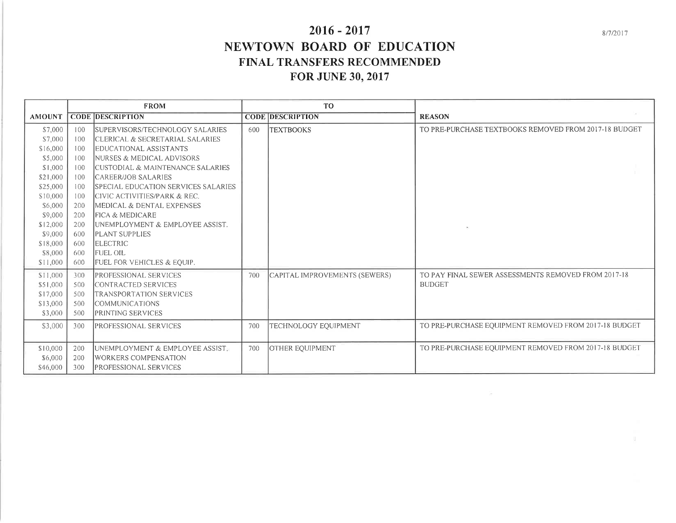# $2016 - 2017$ NEWTOWN BOARD OF EDUCATION FINAL TRANSFERS RECOMMENDED **FOR JUNE 30, 2017**

|               |     | <b>FROM</b>                           |     | T <sub>O</sub>                |                                                       |
|---------------|-----|---------------------------------------|-----|-------------------------------|-------------------------------------------------------|
| <b>AMOUNT</b> |     | <b>CODE DESCRIPTION</b>               |     | <b>CODE DESCRIPTION</b>       | <b>REASON</b>                                         |
| \$7,000       | 100 | SUPERVISORS/TECHNOLOGY SALARIES       | 600 | <b>TEXTBOOKS</b>              | TO PRE-PURCHASE TEXTBOOKS REMOVED FROM 2017-18 BUDGET |
| \$7,000       | 100 | CLERICAL & SECRETARIAL SALARIES       |     |                               |                                                       |
| \$16,000      | 100 | EDUCATIONAL ASSISTANTS                |     |                               |                                                       |
| \$5,000       | 100 | <b>INURSES &amp; MEDICAL ADVISORS</b> |     |                               |                                                       |
| \$1,000       | 100 | CUSTODIAL & MAINTENANCE SALARIES      |     |                               |                                                       |
| \$21,000      | 100 | CAREER/JOB SALARIES                   |     |                               |                                                       |
| \$25,000      | 100 | SPECIAL EDUCATION SERVICES SALARIES   |     |                               |                                                       |
| \$10,000      | 100 | CIVIC ACTIVITIES/PARK & REC.          |     |                               |                                                       |
| \$6,000       | 200 | MEDICAL & DENTAL EXPENSES             |     |                               |                                                       |
| \$9,000       | 200 | <b>FICA &amp; MEDICARE</b>            |     |                               |                                                       |
| \$12,000      | 200 | IUNEMPLOYMENT & EMPLOYEE ASSIST.      |     |                               |                                                       |
| \$9,000       | 600 | <b>PLANT SUPPLIES</b>                 |     |                               |                                                       |
| \$18,000      | 600 | <b>ELECTRIC</b>                       |     |                               |                                                       |
| \$8,000       | 600 | <b>FUEL OIL</b>                       |     |                               |                                                       |
| \$11,000      | 600 | FUEL FOR VEHICLES & EQUIP.            |     |                               |                                                       |
| \$11,000      | 300 | PROFESSIONAL SERVICES                 | 700 | CAPITAL IMPROVEMENTS (SEWERS) | TO PAY FINAL SEWER ASSESSMENTS REMOVED FROM 2017-18   |
| \$51,000      | 500 | CONTRACTED SERVICES                   |     |                               | <b>BUDGET</b>                                         |
| \$17,000      | 500 | TRANSPORTATION SERVICES               |     |                               |                                                       |
| \$13,000      | 500 | <b>COMMUNICATIONS</b>                 |     |                               |                                                       |
| \$3,000       | 500 | PRINTING SERVICES                     |     |                               |                                                       |
| \$3,000       | 300 | PROFESSIONAL SERVICES                 | 700 | TECHNOLOGY EQUIPMENT          | TO PRE-PURCHASE EQUIPMENT REMOVED FROM 2017-18 BUDGET |
|               |     |                                       |     |                               |                                                       |
| \$10,000      | 200 | UNEMPLOYMENT & EMPLOYEE ASSIST.       | 700 | <b>OTHER EQUIPMENT</b>        | TO PRE-PURCHASE EQUIPMENT REMOVED FROM 2017-18 BUDGET |
| \$6,000       | 200 | <b>WORKERS COMPENSATION</b>           |     |                               |                                                       |
| \$46,000      | 300 | PROFESSIONAL SERVICES                 |     |                               |                                                       |

8/7/2017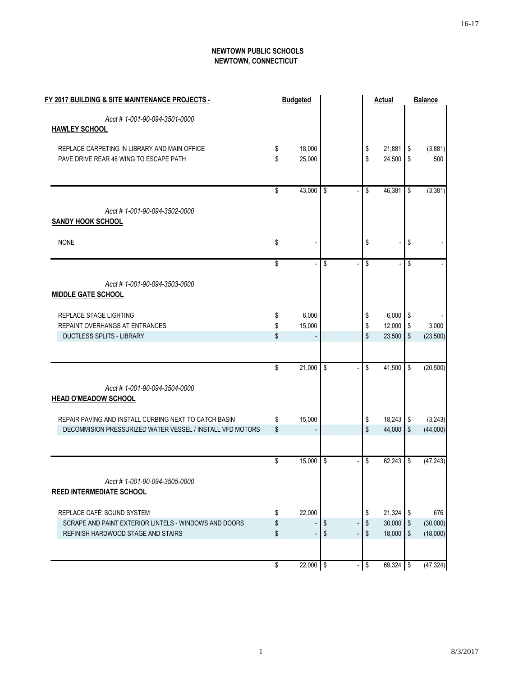#### **NEWTOWN PUBLIC SCHOOLS NEWTOWN, CONNECTICUT**

| FY 2017 BUILDING & SITE MAINTENANCE PROJECTS -            | <b>Budgeted</b>   |                           |                         | <b>Actual</b> |               | <b>Balance</b> |
|-----------------------------------------------------------|-------------------|---------------------------|-------------------------|---------------|---------------|----------------|
| Acct #1-001-90-094-3501-0000                              |                   |                           |                         |               |               |                |
| <b>HAWLEY SCHOOL</b>                                      |                   |                           |                         |               |               |                |
| REPLACE CARPETING IN LIBRARY AND MAIN OFFICE              | \$<br>18,000      |                           | \$                      | 21,881        | \$            | (3,881)        |
| PAVE DRIVE REAR 48 WING TO ESCAPE PATH                    | \$<br>25,000      |                           | \$                      | 24,500        | \$            | 500            |
|                                                           |                   |                           |                         |               |               |                |
|                                                           | \$<br>43,000      | \$                        | \$                      | 46,381        | \$            | (3, 381)       |
| Acct #1-001-90-094-3502-0000                              |                   |                           |                         |               |               |                |
| <b>SANDY HOOK SCHOOL</b>                                  |                   |                           |                         |               |               |                |
| <b>NONE</b>                                               | \$                |                           | \$                      |               | \$            |                |
|                                                           | \$                | \$                        | \$                      |               | \$            |                |
| Acct #1-001-90-094-3503-0000                              |                   |                           |                         |               |               |                |
| <b>MIDDLE GATE SCHOOL</b>                                 |                   |                           |                         |               |               |                |
| REPLACE STAGE LIGHTING                                    | \$<br>6,000       |                           | \$                      | 6,000         | \$            |                |
| REPAINT OVERHANGS AT ENTRANCES                            | \$<br>15,000      |                           | \$                      | 12,000        | \$            | 3,000          |
| <b>DUCTLESS SPLITS - LIBRARY</b>                          | \$                |                           | \$                      | 23,500        | $\mathcal{S}$ | (23, 500)      |
|                                                           |                   |                           |                         |               |               |                |
|                                                           | \$<br>$21,000$ \$ |                           | \$                      | 41,500        | \$            | (20, 500)      |
| Acct #1-001-90-094-3504-0000                              |                   |                           |                         |               |               |                |
| <b>HEAD O'MEADOW SCHOOL</b>                               |                   |                           |                         |               |               |                |
| REPAIR PAVING AND INSTALL CURBING NEXT TO CATCH BASIN     | \$<br>15,000      |                           | \$                      | 18,243        | \$            | (3, 243)       |
| DECOMMISION PRESSURIZED WATER VESSEL / INSTALL VFD MOTORS | \$                |                           | \$                      | 44,000        | \$            | (44,000)       |
|                                                           |                   |                           |                         | 62,243        |               |                |
|                                                           | \$<br>$15,000$ \$ |                           | \$                      |               | \$            | (47, 243)      |
| Acct #1-001-90-094-3505-0000                              |                   |                           |                         |               |               |                |
| <b>REED INTERMEDIATE SCHOOL</b>                           |                   |                           |                         |               |               |                |
| REPLACE CAFÉ' SOUND SYSTEM                                | \$<br>22,000      |                           | \$                      | 21,324        | \$            | 676            |
| SCRAPE AND PAINT EXTERIOR LINTELS - WINDOWS AND DOORS     | \$                | $\boldsymbol{\mathsf{S}}$ | \$                      | 30,000        | \$            | (30,000)       |
| REFINISH HARDWOOD STAGE AND STAIRS                        | \$                | \$                        | \$                      | 18,000        | \$            | (18,000)       |
|                                                           | \$<br>22,000 \$   |                           | $\sqrt[6]{\frac{1}{2}}$ | 69,324 \$     |               | (47, 324)      |
|                                                           |                   |                           |                         |               |               |                |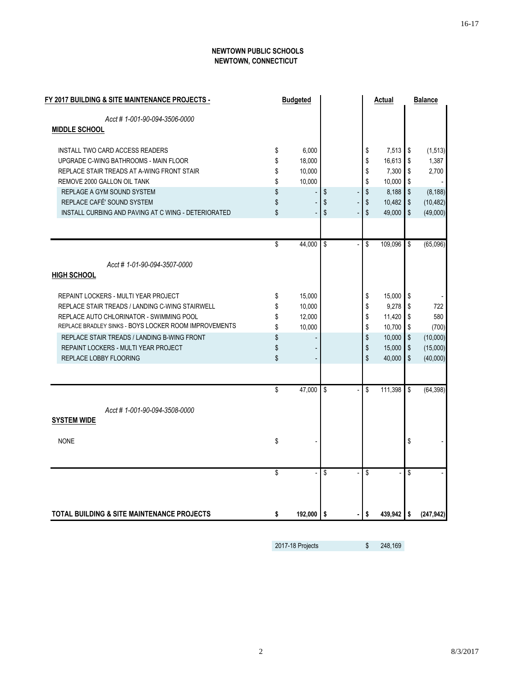#### **NEWTOWN PUBLIC SCHOOLS NEWTOWN, CONNECTICUT**

| FY 2017 BUILDING & SITE MAINTENANCE PROJECTS -        | <b>Budgeted</b> |    |    | Actual     |                         | <b>Balance</b> |
|-------------------------------------------------------|-----------------|----|----|------------|-------------------------|----------------|
| Acct #1-001-90-094-3506-0000                          |                 |    |    |            |                         |                |
| <b>MIDDLE SCHOOL</b>                                  |                 |    |    |            |                         |                |
| <b>INSTALL TWO CARD ACCESS READERS</b>                | \$<br>6,000     |    | \$ | $7,513$ \$ |                         | (1, 513)       |
| UPGRADE C-WING BATHROOMS - MAIN FLOOR                 | \$<br>18,000    |    | \$ | 16,613     | \$                      | 1,387          |
| REPLACE STAIR TREADS AT A-WING FRONT STAIR            | \$<br>10,000    |    | \$ | 7,300      | \$                      | 2,700          |
| REMOVE 2000 GALLON OIL TANK                           | \$<br>10,000    |    | \$ | 10,000     | $\sqrt{2}$              |                |
| REPLAGE A GYM SOUND SYSTEM                            | \$              | \$ | \$ | 8,188      | $\sqrt{2}$              | (8, 188)       |
| REPLACE CAFÉ' SOUND SYSTEM                            | \$              | \$ | \$ | 10,482     | $\,$                    | (10, 482)      |
| INSTALL CURBING AND PAVING AT C WING - DETERIORATED   | \$              | \$ | \$ | 49,000     | \$                      | (49,000)       |
|                                                       |                 |    |    |            |                         |                |
|                                                       | \$<br>44,000    | \$ | \$ | 109,096    | \$                      | (65,096)       |
| Acct #1-01-90-094-3507-0000                           |                 |    |    |            |                         |                |
| <b>HIGH SCHOOL</b>                                    |                 |    |    |            |                         |                |
| REPAINT LOCKERS - MULTI YEAR PROJECT                  | \$<br>15,000    |    | \$ | 15,000     | \$                      |                |
| REPLACE STAIR TREADS / LANDING C-WING STAIRWELL       | \$<br>10,000    |    | \$ | 9,278      | Ŝ.                      | 722            |
| REPLACE AUTO CHLORINATOR - SWIMMING POOL              | \$<br>12,000    |    | \$ | 11,420 \$  |                         | 580            |
| REPLACE BRADLEY SINKS - BOYS LOCKER ROOM IMPROVEMENTS | \$<br>10,000    |    | \$ | 10,700     | \$                      | (700)          |
| REPLACE STAIR TREADS / LANDING B-WING FRONT           | \$              |    | \$ | 10,000     | $\sqrt[6]{\frac{1}{2}}$ | (10,000)       |
| REPAINT LOCKERS - MULTI YEAR PROJECT                  | \$              |    | \$ | 15,000     | \$                      | (15,000)       |
| <b>REPLACE LOBBY FLOORING</b>                         | \$              |    | \$ | 40,000     | \$                      | (40,000)       |
|                                                       |                 |    |    |            |                         |                |
|                                                       | \$<br>47,000    | \$ | \$ | 111,398    | \$                      | (64, 398)      |
| Acct #1-001-90-094-3508-0000                          |                 |    |    |            |                         |                |
| <b>SYSTEM WIDE</b>                                    |                 |    |    |            |                         |                |
| <b>NONE</b>                                           | \$              |    |    |            | \$                      |                |
|                                                       |                 |    |    |            |                         |                |
|                                                       | \$              | \$ | \$ |            | \$                      |                |
|                                                       |                 |    |    |            |                         |                |
| <b>TOTAL BUILDING &amp; SITE MAINTENANCE PROJECTS</b> | \$<br>192,000   | S. | \$ | 439,942    | \$                      | (247, 942)     |

2017-18 Projects \$ 248,169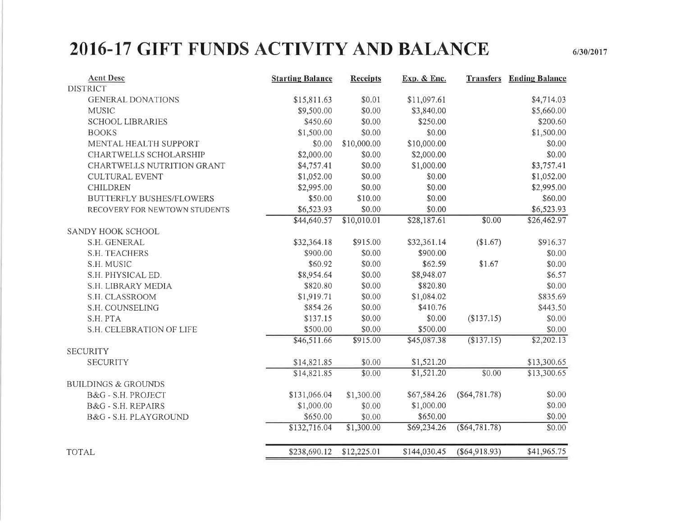# 2016-17 GIFT FUNDS ACTIVITY AND BALANCE

 $6/30/2017$ 

| <b>Acnt Desc</b>                | <b>Starting Balance</b> | <b>Receipts</b> | Exp. & Enc.  | <b>Transfers</b> | <b>Ending Balance</b> |
|---------------------------------|-------------------------|-----------------|--------------|------------------|-----------------------|
| <b>DISTRICT</b>                 |                         |                 |              |                  |                       |
| <b>GENERAL DONATIONS</b>        | \$15,811.63             | \$0.01          | \$11,097.61  |                  | \$4,714.03            |
| <b>MUSIC</b>                    | \$9,500.00              | \$0.00          | \$3,840.00   |                  | \$5,660.00            |
| <b>SCHOOL LIBRARIES</b>         | \$450.60                | \$0.00          | \$250.00     |                  | \$200.60              |
| <b>BOOKS</b>                    | \$1,500.00              | \$0.00          | \$0.00       |                  | \$1,500.00            |
| MENTAL HEALTH SUPPORT           | \$0.00                  | \$10,000.00     | \$10,000.00  |                  | \$0.00                |
| CHARTWELLS SCHOLARSHIP          | \$2,000.00              | \$0.00          | \$2,000.00   |                  | \$0.00                |
| CHARTWELLS NUTRITION GRANT      | \$4,757.41              | \$0.00          | \$1,000.00   |                  | \$3,757.41            |
| <b>CULTURAL EVENT</b>           | \$1,052.00              | \$0.00          | \$0.00       |                  | \$1,052.00            |
| <b>CHILDREN</b>                 | \$2,995.00              | \$0.00          | \$0.00       |                  | \$2,995.00            |
| <b>BUTTERFLY BUSHES/FLOWERS</b> | \$50.00                 | \$10.00         | \$0.00       |                  | \$60.00               |
| RECOVERY FOR NEWTOWN STUDENTS   | \$6,523.93              | \$0.00          | \$0.00       |                  | \$6,523.93            |
|                                 | \$44,640.57             | \$10,010.01     | \$28,187.61  | \$0.00           | \$26,462.97           |
| SANDY HOOK SCHOOL               |                         |                 |              |                  |                       |
| S.H. GENERAL                    | \$32,364.18             | \$915.00        | \$32,361.14  | (\$1.67)         | \$916.37              |
| S.H. TEACHERS                   | \$900.00                | \$0.00          | \$900.00     |                  | \$0.00                |
| S.H. MUSIC                      | \$60.92                 | \$0.00          | \$62.59      | \$1.67           | \$0.00                |
| S.H. PHYSICAL ED.               | \$8,954.64              | \$0.00          | \$8,948.07   |                  | \$6.57                |
| S.H. LIBRARY MEDIA              | \$820.80                | \$0.00          | \$820.80     |                  | \$0.00                |
| S.H. CLASSROOM                  | \$1,919.71              | \$0.00          | \$1,084.02   |                  | \$835.69              |
| S.H. COUNSELING                 | \$854.26                | \$0.00          | \$410.76     |                  | \$443.50              |
| S.H. PTA                        | \$137.15                | \$0.00          | \$0.00       | (\$137.15)       | \$0.00                |
| S.H. CELEBRATION OF LIFE        | \$500.00                | \$0.00          | \$500.00     |                  | \$0.00                |
|                                 | \$46,511.66             | \$915.00        | \$45,087.38  | (\$137.15)       | \$2,202.13            |
| <b>SECURITY</b>                 |                         |                 |              |                  |                       |
| <b>SECURITY</b>                 | \$14,821.85             | \$0.00          | \$1,521.20   |                  | \$13,300.65           |
|                                 | \$14,821.85             | \$0.00          | \$1,521.20   | \$0.00           | \$13,300.65           |
| <b>BUILDINGS &amp; GROUNDS</b>  |                         |                 |              |                  |                       |
| B&G - S.H. PROJECT              | \$131,066.04            | \$1,300.00      | \$67,584.26  | $(\$64,781.78)$  | \$0.00                |
| B&G - S.H. REPAIRS              | \$1,000.00              | \$0.00          | \$1,000.00   |                  | \$0.00                |
| B&G - S.H. PLAYGROUND           | \$650.00                | \$0.00          | \$650.00     |                  | \$0.00                |
|                                 | \$132,716.04            | \$1,300.00      | \$69,234.26  | $(\$64,781.78)$  | \$0.00                |
| <b>TOTAL</b>                    | \$238,690.12            | \$12,225.01     | \$144,030.45 | $(\$64,918.93)$  | \$41,965.75           |